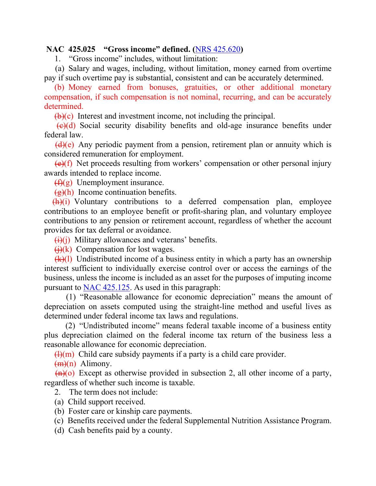## **NAC 425.025 "Gross income" defined. (**[NRS 425.620](https://www.leg.state.nv.us/NRS/NRS-425.html#NRS425Sec620)**)**

1. "Gross income" includes, without limitation:

(a) Salary and wages, including, without limitation, money earned from overtime pay if such overtime pay is substantial, consistent and can be accurately determined.

 (b) Money earned from bonuses, gratuities, or other additional monetary compensation, if such compensation is not nominal, recurring, and can be accurately determined.

 $\bigoplus$  (c) Interest and investment income, not including the principal.

 $\left(\frac{e}{c}\right)$  Social security disability benefits and old-age insurance benefits under federal law.

 $(d)(e)$  Any periodic payment from a pension, retirement plan or annuity which is considered remuneration for employment.

 $\left(\frac{e}{f}\right)$  Net proceeds resulting from workers' compensation or other personal injury awards intended to replace income.

 $(f)(g)$  Unemployment insurance.

 $(g)(h)$  Income continuation benefits.

 $(h)(i)$  Voluntary contributions to a deferred compensation plan, employee contributions to an employee benefit or profit-sharing plan, and voluntary employee contributions to any pension or retirement account, regardless of whether the account provides for tax deferral or avoidance.

 $\overline{(i)}$ (i) Military allowances and veterans' benefits.

 $\overline{(i)}$ (k) Compensation for lost wages.

 $(k)(l)$  Undistributed income of a business entity in which a party has an ownership interest sufficient to individually exercise control over or access the earnings of the business, unless the income is included as an asset for the purposes of imputing income pursuant to [NAC 425.125.](https://www.leg.state.nv.us/NAC/NAC-425.html#NAC425Sec125) As used in this paragraph:

 (1) "Reasonable allowance for economic depreciation" means the amount of depreciation on assets computed using the straight-line method and useful lives as determined under federal income tax laws and regulations.

 (2) "Undistributed income" means federal taxable income of a business entity plus depreciation claimed on the federal income tax return of the business less a reasonable allowance for economic depreciation.

 $\left(\frac{H}{m}\right)$  Child care subsidy payments if a party is a child care provider.

 $(m)(n)$  Alimony.

 $(n)(o)$  Except as otherwise provided in subsection 2, all other income of a party, regardless of whether such income is taxable.

2. The term does not include:

- (a) Child support received.
- (b) Foster care or kinship care payments.

(c) Benefits received under the federal Supplemental Nutrition Assistance Program.

(d) Cash benefits paid by a county.